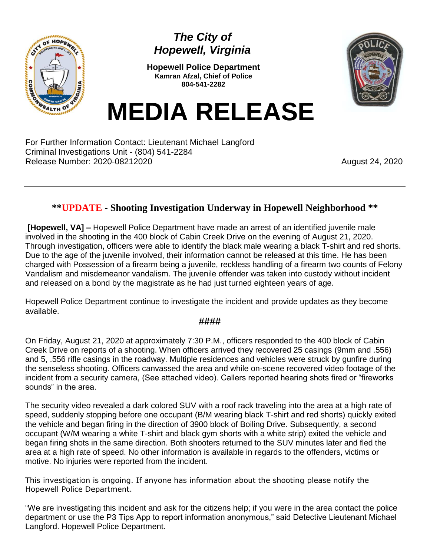

## *The City of Hopewell, Virginia*

**Hopewell Police Department Kamran Afzal, Chief of Police 804-541-2282**



**MEDIA RELEASE**

For Further Information Contact: Lieutenant Michael Langford Criminal Investigations Unit - (804) 541-2284 Release Number: 2020-08212020 **August 24, 2020** August 24, 2020

## **\*\*UPDATE - Shooting Investigation Underway in Hopewell Neighborhood \*\***

**[Hopewell, VA] –** Hopewell Police Department have made an arrest of an identified juvenile male involved in the shooting in the 400 block of Cabin Creek Drive on the evening of August 21, 2020. Through investigation, officers were able to identify the black male wearing a black T-shirt and red shorts. Due to the age of the juvenile involved, their information cannot be released at this time. He has been charged with Possession of a firearm being a juvenile, reckless handling of a firearm two counts of Felony Vandalism and misdemeanor vandalism. The juvenile offender was taken into custody without incident and released on a bond by the magistrate as he had just turned eighteen years of age.

Hopewell Police Department continue to investigate the incident and provide updates as they become available.

## **####**

On Friday, August 21, 2020 at approximately 7:30 P.M., officers responded to the 400 block of Cabin Creek Drive on reports of a shooting. When officers arrived they recovered 25 casings (9mm and .556) and 5, .556 rifle casings in the roadway. Multiple residences and vehicles were struck by gunfire during the senseless shooting. Officers canvassed the area and while on-scene recovered video footage of the incident from a security camera, (See attached video). Callers reported hearing shots fired or "fireworks sounds" in the area.

The security video revealed a dark colored SUV with a roof rack traveling into the area at a high rate of speed, suddenly stopping before one occupant (B/M wearing black T-shirt and red shorts) quickly exited the vehicle and began firing in the direction of 3900 block of Boiling Drive. Subsequently, a second occupant (W/M wearing a white T-shirt and black gym shorts with a white strip) exited the vehicle and began firing shots in the same direction. Both shooters returned to the SUV minutes later and fled the area at a high rate of speed. No other information is available in regards to the offenders, victims or motive. No injuries were reported from the incident.

This investigation is ongoing. If anyone has information about the shooting please notify the Hopewell Police Department.

"We are investigating this incident and ask for the citizens help; if you were in the area contact the police department or use the P3 Tips App to report information anonymous," said Detective Lieutenant Michael Langford. Hopewell Police Department.